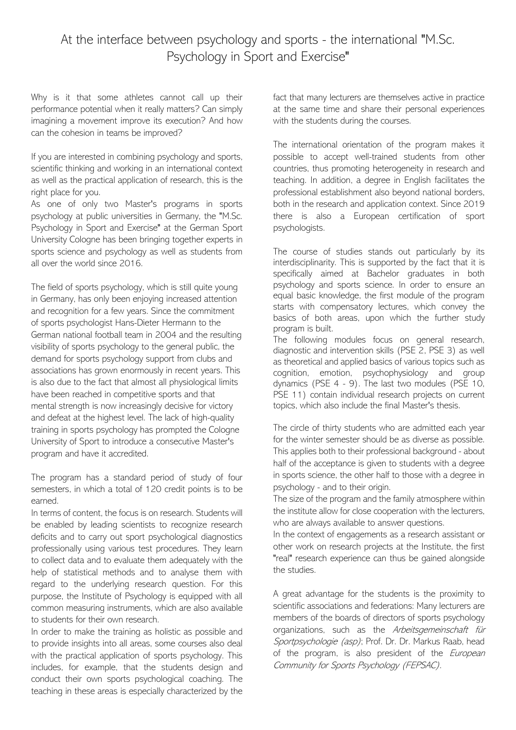## At the interface between psychology and sports - the international "M.Sc. Psychology in Sport and Exercise"

Why is it that some athletes cannot call up their performance potential when it really matters? Can simply imagining a movement improve its execution? And how can the cohesion in teams be improved?

If you are interested in combining psychology and sports, scientific thinking and working in an international context as well as the practical application of research, this is the right place for you.

As one of only two Master's programs in sports psychology at public universities in Germany, the "M.Sc. Psychology in Sport and Exercise" at the German Sport University Cologne has been bringing together experts in sports science and psychology as well as students from all over the world since 2016.

The field of sports psychology, which is still quite young in Germany, has only been enjoying increased attention and recognition for a few years. Since the commitment of sports psychologist Hans-Dieter Hermann to the German national football team in 2004 and the resulting visibility of sports psychology to the general public, the demand for sports psychology support from clubs and associations has grown enormously in recent years. This is also due to the fact that almost all physiological limits have been reached in competitive sports and that mental strength is now increasingly decisive for victory and defeat at the highest level. The lack of high-quality training in sports psychology has prompted the Cologne University of Sport to introduce a consecutive Master's program and have it accredited.

The program has a standard period of study of four semesters, in which a total of 120 credit points is to be earned.

In terms of content, the focus is on research. Students will be enabled by leading scientists to recognize research deficits and to carry out sport psychological diagnostics professionally using various test procedures. They learn to collect data and to evaluate them adequately with the help of statistical methods and to analyse them with regard to the underlying research question. For this purpose, the Institute of Psychology is equipped with all common measuring instruments, which are also available to students for their own research.

In order to make the training as holistic as possible and to provide insights into all areas, some courses also deal with the practical application of sports psychology. This includes, for example, that the students design and conduct their own sports psychological coaching. The teaching in these areas is especially characterized by the

fact that many lecturers are themselves active in practice at the same time and share their personal experiences with the students during the courses.

The international orientation of the program makes it possible to accept well-trained students from other countries, thus promoting heterogeneity in research and teaching. In addition, a degree in English facilitates the professional establishment also beyond national borders, both in the research and application context. Since 2019 there is also a European certification of sport psychologists.

The course of studies stands out particularly by its interdisciplinarity. This is supported by the fact that it is specifically aimed at Bachelor graduates in both psychology and sports science. In order to ensure an equal basic knowledge, the first module of the program starts with compensatory lectures, which convey the basics of both areas, upon which the further study program is built.

The following modules focus on general research, diagnostic and intervention skills (PSE 2, PSE 3) as well as theoretical and applied basics of various topics such as cognition, emotion, psychophysiology and group dynamics (PSE 4 - 9). The last two modules (PSE 10, PSE 11) contain individual research projects on current topics, which also include the final Master's thesis.

The circle of thirty students who are admitted each year for the winter semester should be as diverse as possible. This applies both to their professional background - about half of the acceptance is given to students with a degree in sports science, the other half to those with a degree in psychology - and to their origin.

The size of the program and the family atmosphere within the institute allow for close cooperation with the lecturers, who are always available to answer questions.

In the context of engagements as a research assistant or other work on research projects at the Institute, the first "real" research experience can thus be gained alongside the studies.

A great advantage for the students is the proximity to scientific associations and federations: Many lecturers are members of the boards of directors of sports psychology organizations, such as the Arbeitsgemeinschaft für Sportpsychologie (asp); Prof. Dr. Dr. Markus Raab, head of the program, is also president of the *European* Community for Sports Psychology (FEPSAC).